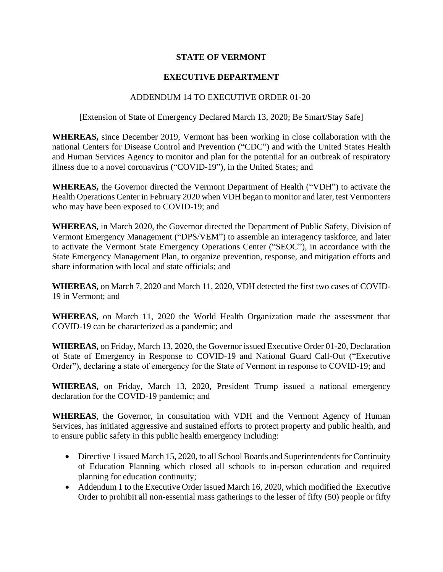## **STATE OF VERMONT**

# **EXECUTIVE DEPARTMENT**

### ADDENDUM 14 TO EXECUTIVE ORDER 01-20

#### [Extension of State of Emergency Declared March 13, 2020; Be Smart/Stay Safe]

**WHEREAS,** since December 2019, Vermont has been working in close collaboration with the national Centers for Disease Control and Prevention ("CDC") and with the United States Health and Human Services Agency to monitor and plan for the potential for an outbreak of respiratory illness due to a novel coronavirus ("COVID-19"), in the United States; and

**WHEREAS,** the Governor directed the Vermont Department of Health ("VDH") to activate the Health Operations Center in February 2020 when VDH began to monitor and later, test Vermonters who may have been exposed to COVID-19; and

**WHEREAS,** in March 2020, the Governor directed the Department of Public Safety, Division of Vermont Emergency Management ("DPS/VEM") to assemble an interagency taskforce, and later to activate the Vermont State Emergency Operations Center ("SEOC"), in accordance with the State Emergency Management Plan, to organize prevention, response, and mitigation efforts and share information with local and state officials; and

**WHEREAS,** on March 7, 2020 and March 11, 2020, VDH detected the first two cases of COVID-19 in Vermont; and

**WHEREAS,** on March 11, 2020 the World Health Organization made the assessment that COVID-19 can be characterized as a pandemic; and

**WHEREAS,** on Friday, March 13, 2020, the Governor issued Executive Order 01-20, Declaration of State of Emergency in Response to COVID-19 and National Guard Call-Out ("Executive Order"), declaring a state of emergency for the State of Vermont in response to COVID-19; and

**WHEREAS,** on Friday, March 13, 2020, President Trump issued a national emergency declaration for the COVID-19 pandemic; and

**WHEREAS**, the Governor, in consultation with VDH and the Vermont Agency of Human Services, has initiated aggressive and sustained efforts to protect property and public health, and to ensure public safety in this public health emergency including:

- Directive 1 issued March 15, 2020, to all School Boards and Superintendents for Continuity of Education Planning which closed all schools to in-person education and required planning for education continuity;
- Addendum 1 to the Executive Order issued March 16, 2020, which modified the Executive Order to prohibit all non-essential mass gatherings to the lesser of fifty (50) people or fifty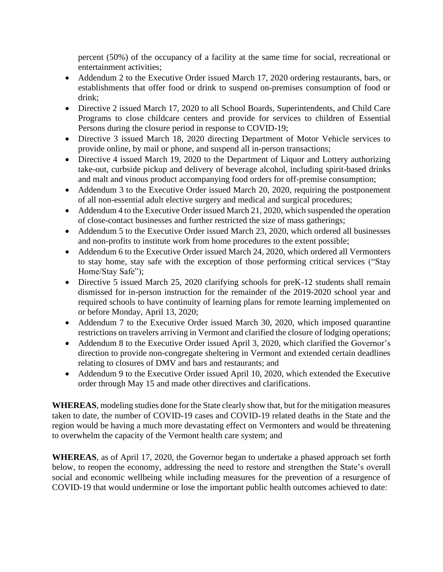percent (50%) of the occupancy of a facility at the same time for social, recreational or entertainment activities;

- Addendum 2 to the Executive Order issued March 17, 2020 ordering restaurants, bars, or establishments that offer food or drink to suspend on-premises consumption of food or drink;
- Directive 2 issued March 17, 2020 to all School Boards, Superintendents, and Child Care Programs to close childcare centers and provide for services to children of Essential Persons during the closure period in response to COVID-19;
- Directive 3 issued March 18, 2020 directing Department of Motor Vehicle services to provide online, by mail or phone, and suspend all in-person transactions;
- Directive 4 issued March 19, 2020 to the Department of Liquor and Lottery authorizing take-out, curbside pickup and delivery of beverage alcohol, including spirit-based drinks and malt and vinous product accompanying food orders for off-premise consumption;
- Addendum 3 to the Executive Order issued March 20, 2020, requiring the postponement of all non-essential adult elective surgery and medical and surgical procedures;
- Addendum 4 to the Executive Order issued March 21, 2020, which suspended the operation of close-contact businesses and further restricted the size of mass gatherings;
- Addendum 5 to the Executive Order issued March 23, 2020, which ordered all businesses and non-profits to institute work from home procedures to the extent possible;
- Addendum 6 to the Executive Order issued March 24, 2020, which ordered all Vermonters to stay home, stay safe with the exception of those performing critical services ("Stay Home/Stay Safe");
- Directive 5 issued March 25, 2020 clarifying schools for preK-12 students shall remain dismissed for in-person instruction for the remainder of the 2019-2020 school year and required schools to have continuity of learning plans for remote learning implemented on or before Monday, April 13, 2020;
- Addendum 7 to the Executive Order issued March 30, 2020, which imposed quarantine restrictions on travelers arriving in Vermont and clarified the closure of lodging operations;
- Addendum 8 to the Executive Order issued April 3, 2020, which clarified the Governor's direction to provide non-congregate sheltering in Vermont and extended certain deadlines relating to closures of DMV and bars and restaurants; and
- Addendum 9 to the Executive Order issued April 10, 2020, which extended the Executive order through May 15 and made other directives and clarifications.

**WHEREAS**, modeling studies done for the State clearly show that, but for the mitigation measures taken to date, the number of COVID-19 cases and COVID-19 related deaths in the State and the region would be having a much more devastating effect on Vermonters and would be threatening to overwhelm the capacity of the Vermont health care system; and

**WHEREAS**, as of April 17, 2020, the Governor began to undertake a phased approach set forth below, to reopen the economy, addressing the need to restore and strengthen the State's overall social and economic wellbeing while including measures for the prevention of a resurgence of COVID-19 that would undermine or lose the important public health outcomes achieved to date: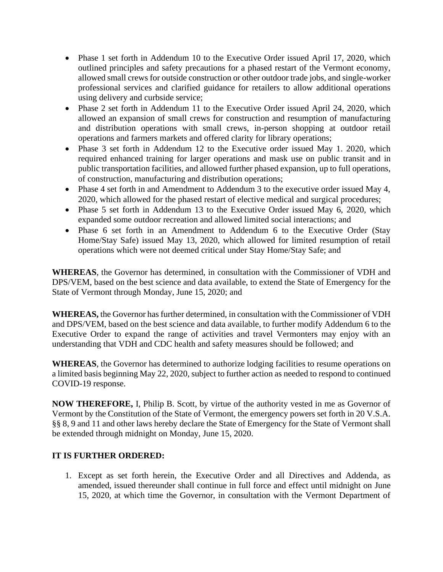- Phase 1 set forth in Addendum 10 to the Executive Order issued April 17, 2020, which outlined principles and safety precautions for a phased restart of the Vermont economy, allowed small crews for outside construction or other outdoor trade jobs, and single-worker professional services and clarified guidance for retailers to allow additional operations using delivery and curbside service;
- Phase 2 set forth in Addendum 11 to the Executive Order issued April 24, 2020, which allowed an expansion of small crews for construction and resumption of manufacturing and distribution operations with small crews, in-person shopping at outdoor retail operations and farmers markets and offered clarity for library operations;
- Phase 3 set forth in Addendum 12 to the Executive order issued May 1. 2020, which required enhanced training for larger operations and mask use on public transit and in public transportation facilities, and allowed further phased expansion, up to full operations, of construction, manufacturing and distribution operations;
- Phase 4 set forth in and Amendment to Addendum 3 to the executive order issued May 4, 2020, which allowed for the phased restart of elective medical and surgical procedures;
- Phase 5 set forth in Addendum 13 to the Executive Order issued May 6, 2020, which expanded some outdoor recreation and allowed limited social interactions; and
- Phase 6 set forth in an Amendment to Addendum 6 to the Executive Order (Stay Home/Stay Safe) issued May 13, 2020, which allowed for limited resumption of retail operations which were not deemed critical under Stay Home/Stay Safe; and

**WHEREAS**, the Governor has determined, in consultation with the Commissioner of VDH and DPS/VEM, based on the best science and data available, to extend the State of Emergency for the State of Vermont through Monday, June 15, 2020; and

**WHEREAS,** the Governor has further determined, in consultation with the Commissioner of VDH and DPS/VEM, based on the best science and data available, to further modify Addendum 6 to the Executive Order to expand the range of activities and travel Vermonters may enjoy with an understanding that VDH and CDC health and safety measures should be followed; and

**WHEREAS**, the Governor has determined to authorize lodging facilities to resume operations on a limited basis beginning May 22, 2020, subject to further action as needed to respond to continued COVID-19 response.

**NOW THEREFORE,** I, Philip B. Scott, by virtue of the authority vested in me as Governor of Vermont by the Constitution of the State of Vermont, the emergency powers set forth in 20 V.S.A. §§ 8, 9 and 11 and other laws hereby declare the State of Emergency for the State of Vermont shall be extended through midnight on Monday, June 15, 2020.

## **IT IS FURTHER ORDERED:**

1. Except as set forth herein, the Executive Order and all Directives and Addenda, as amended, issued thereunder shall continue in full force and effect until midnight on June 15, 2020, at which time the Governor, in consultation with the Vermont Department of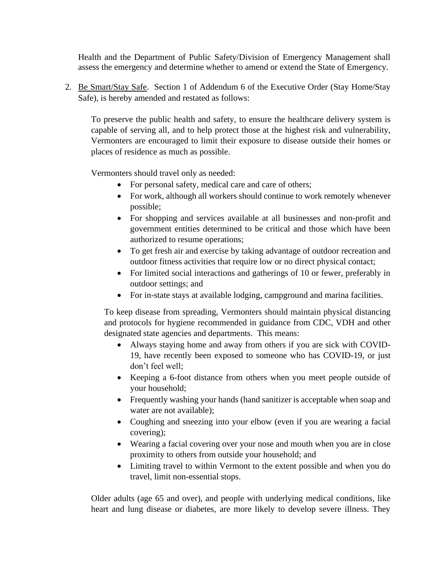Health and the Department of Public Safety/Division of Emergency Management shall assess the emergency and determine whether to amend or extend the State of Emergency.

2. Be Smart/Stay Safe. Section 1 of Addendum 6 of the Executive Order (Stay Home/Stay Safe), is hereby amended and restated as follows:

To preserve the public health and safety, to ensure the healthcare delivery system is capable of serving all, and to help protect those at the highest risk and vulnerability, Vermonters are encouraged to limit their exposure to disease outside their homes or places of residence as much as possible.

Vermonters should travel only as needed:

- For personal safety, medical care and care of others;
- For work, although all workers should continue to work remotely whenever possible;
- For shopping and services available at all businesses and non-profit and government entities determined to be critical and those which have been authorized to resume operations;
- To get fresh air and exercise by taking advantage of outdoor recreation and outdoor fitness activities that require low or no direct physical contact;
- For limited social interactions and gatherings of 10 or fewer, preferably in outdoor settings; and
- For in-state stays at available lodging, campground and marina facilities.

To keep disease from spreading, Vermonters should maintain physical distancing and protocols for hygiene recommended in guidance from CDC, VDH and other designated state agencies and departments. This means:

- Always staying home and away from others if you are sick with COVID-19, have recently been exposed to someone who has COVID-19, or just don't feel well;
- Keeping a 6-foot distance from others when you meet people outside of your household;
- Frequently washing your hands (hand sanitizer is acceptable when soap and water are not available);
- Coughing and sneezing into your elbow (even if you are wearing a facial covering);
- Wearing a facial covering over your nose and mouth when you are in close proximity to others from outside your household; and
- Limiting travel to within Vermont to the extent possible and when you do travel, limit non-essential stops.

Older adults (age 65 and over), and people with underlying medical conditions, like heart and lung disease or diabetes, are more likely to develop severe illness. They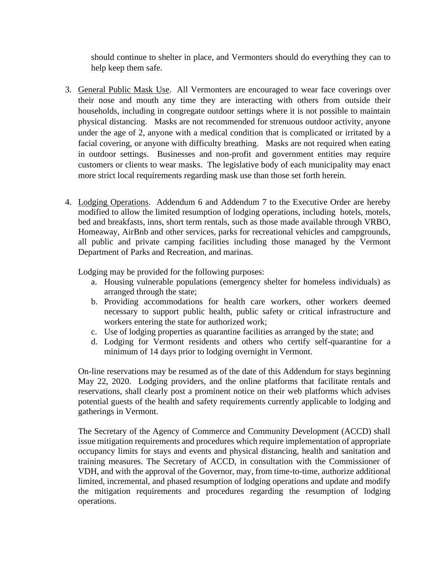should continue to shelter in place, and Vermonters should do everything they can to help keep them safe.

- 3. General Public Mask Use. All Vermonters are encouraged to wear face coverings over their nose and mouth any time they are interacting with others from outside their households, including in congregate outdoor settings where it is not possible to maintain physical distancing. Masks are not recommended for strenuous outdoor activity, anyone under the age of 2, anyone with a medical condition that is complicated or irritated by a facial covering, or anyone with difficulty breathing. Masks are not required when eating in outdoor settings. Businesses and non-profit and government entities may require customers or clients to wear masks. The legislative body of each municipality may enact more strict local requirements regarding mask use than those set forth herein.
- 4. Lodging Operations. Addendum 6 and Addendum 7 to the Executive Order are hereby modified to allow the limited resumption of lodging operations, including hotels, motels, bed and breakfasts, inns, short term rentals, such as those made available through VRBO, Homeaway, AirBnb and other services, parks for recreational vehicles and campgrounds, all public and private camping facilities including those managed by the Vermont Department of Parks and Recreation, and marinas.

Lodging may be provided for the following purposes:

- a. Housing vulnerable populations (emergency shelter for homeless individuals) as arranged through the state;
- b. Providing accommodations for health care workers, other workers deemed necessary to support public health, public safety or critical infrastructure and workers entering the state for authorized work;
- c. Use of lodging properties as quarantine facilities as arranged by the state; and
- d. Lodging for Vermont residents and others who certify self-quarantine for a minimum of 14 days prior to lodging overnight in Vermont.

On-line reservations may be resumed as of the date of this Addendum for stays beginning May 22, 2020. Lodging providers, and the online platforms that facilitate rentals and reservations, shall clearly post a prominent notice on their web platforms which advises potential guests of the health and safety requirements currently applicable to lodging and gatherings in Vermont.

The Secretary of the Agency of Commerce and Community Development (ACCD) shall issue mitigation requirements and procedures which require implementation of appropriate occupancy limits for stays and events and physical distancing, health and sanitation and training measures. The Secretary of ACCD, in consultation with the Commissioner of VDH, and with the approval of the Governor, may, from time-to-time, authorize additional limited, incremental, and phased resumption of lodging operations and update and modify the mitigation requirements and procedures regarding the resumption of lodging operations.